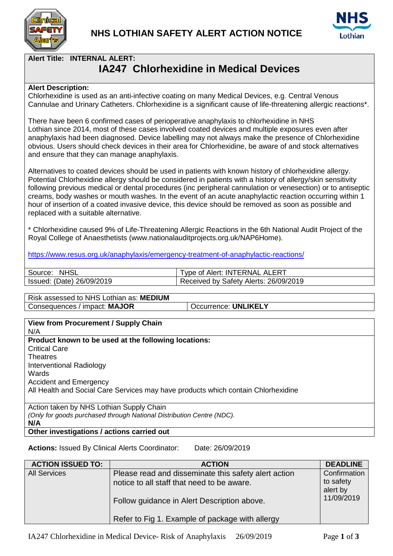



**Alert Title: INTERNAL ALERT:**

## **IA247 Chlorhexidine in Medical Devices**

## **Alert Description:**

Chlorhexidine is used as an anti-infective coating on many Medical Devices, e.g. Central Venous Cannulae and Urinary Catheters. Chlorhexidine is a significant cause of life-threatening allergic reactions\*.

There have been 6 confirmed cases of perioperative anaphylaxis to chlorhexidine in NHS Lothian since 2014, most of these cases involved coated devices and multiple exposures even after anaphylaxis had been diagnosed. Device labelling may not always make the presence of Chlorhexidine obvious. Users should check devices in their area for Chlorhexidine, be aware of and stock alternatives and ensure that they can manage anaphylaxis.

Alternatives to coated devices should be used in patients with known history of chlorhexidine allergy. Potential Chlorhexidine allergy should be considered in patients with a history of allergy/skin sensitivity following previous medical or dental procedures (inc peripheral cannulation or venesection) or to antiseptic creams, body washes or mouth washes. In the event of an acute anaphylactic reaction occurring within 1 hour of insertion of a coated invasive device, this device should be removed as soon as possible and replaced with a suitable alternative.

\* Chlorhexidine caused 9% of Life-Threatening Allergic Reactions in the 6th National Audit Project of the Royal College of Anaesthetists (www.nationalauditprojects.org.uk/NAP6Home).

<https://www.resus.org.uk/anaphylaxis/emergency-treatment-of-anaphylactic-reactions/>

| <b>NHSL</b><br>Source:          | . ALERT<br>: INTERNAL<br>⊺vpe of Alert: ⊺ |
|---------------------------------|-------------------------------------------|
| 26/09/2019<br>(Date)<br>Issued: | Received by Safety Alerts: 26/09/2019     |

Risk assessed to NHS Lothian as: **MEDIUM** Consequences / impact: MAJOR | Occurrence: UNLIKELY

| <b>View from Procurement / Supply Chain</b>                                       |
|-----------------------------------------------------------------------------------|
| N/A                                                                               |
| Product known to be used at the following locations:                              |
| <b>Critical Care</b>                                                              |
| <b>Theatres</b>                                                                   |
| Interventional Radiology                                                          |
| Wards                                                                             |
| <b>Accident and Emergency</b>                                                     |
| All Health and Social Care Services may have products which contain Chlorhexidine |
|                                                                                   |
| Action taken by NHS Lothian Supply Chain                                          |
| (Only for goods purchased through National Distribution Centre (NDC).             |
| N/A                                                                               |

**Other investigations / actions carried out**

**Actions:** Issued By Clinical Alerts Coordinator: Date: 26/09/2019

| <b>ACTION ISSUED TO:</b> | <b>ACTION</b>                                                                                                                                     | <b>DEADLINE</b>                                     |
|--------------------------|---------------------------------------------------------------------------------------------------------------------------------------------------|-----------------------------------------------------|
| <b>All Services</b>      | Please read and disseminate this safety alert action<br>notice to all staff that need to be aware.<br>Follow guidance in Alert Description above. | Confirmation<br>to safety<br>alert by<br>11/09/2019 |
|                          | Refer to Fig 1. Example of package with allergy                                                                                                   |                                                     |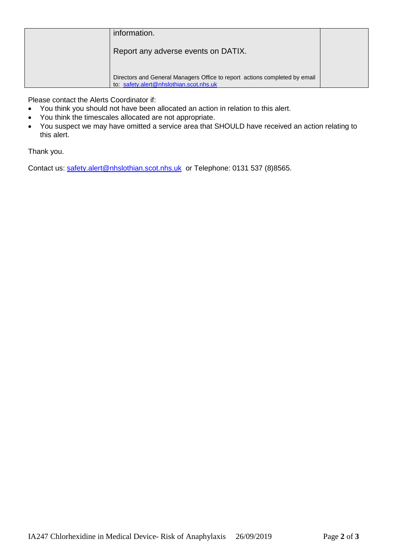| information.                                                                                                          |  |
|-----------------------------------------------------------------------------------------------------------------------|--|
| Report any adverse events on DATIX.                                                                                   |  |
| Directors and General Managers Office to report actions completed by email<br>to: safety.alert@nhslothian.scot.nhs.uk |  |

Please contact the Alerts Coordinator if:

- You think you should not have been allocated an action in relation to this alert.
- You think the timescales allocated are not appropriate.
- You suspect we may have omitted a service area that SHOULD have received an action relating to this alert.

Thank you.

Contact us: [safety.alert@nhslothian.scot.nhs.uk](mailto:safety.alert@nhslothian.scot.nhs.uk) or Telephone: 0131 537 (8)8565.